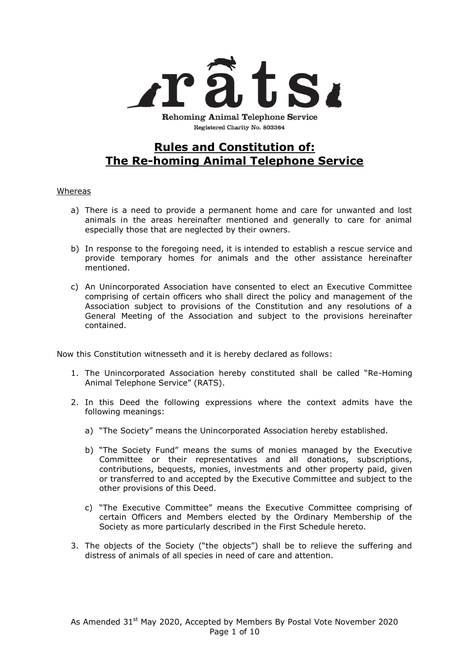

Registered Charity No. 803364

# **Rules and Constitution of: The Re-homing Animal Telephone Service**

#### Whereas

- a) There is a need to provide a permanent home and care for unwanted and lost animals in the areas hereinafter mentioned and generally to care for animal especially those that are neglected by their owners.
- b) In response to the foregoing need, it is intended to establish a rescue service and provide temporary homes for animals and the other assistance hereinafter mentioned.
- c) An Unincorporated Association have consented to elect an Executive Committee comprising of certain officers who shall direct the policy and management of the Association subject to provisions of the Constitution and any resolutions of a General Meeting of the Association and subject to the provisions hereinafter contained.

Now this Constitution witnesseth and it is hereby declared as follows:

- 1. The Unincorporated Association hereby constituted shall be called "Re-Homing Animal Telephone Service" (RATS).
- 2. In this Deed the following expressions where the context admits have the following meanings:
	- a) "The Society" means the Unincorporated Association hereby established.
	- b) "The Society Fund" means the sums of monies managed by the Executive Committee or their representatives and all donations, subscriptions, contributions, bequests, monies, investments and other property paid, given or transferred to and accepted by the Executive Committee and subject to the other provisions of this Deed.
	- c) "The Executive Committee" means the Executive Committee comprising of certain Officers and Members elected by the Ordinary Membership of the Society as more particularly described in the First Schedule hereto.
- 3. The objects of the Society ("the objects") shall be to relieve the suffering and distress of animals of all species in need of care and attention.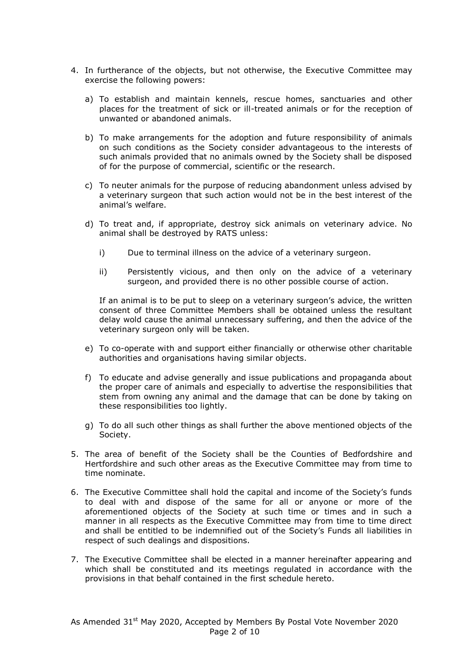- 4. In furtherance of the objects, but not otherwise, the Executive Committee may exercise the following powers:
	- a) To establish and maintain kennels, rescue homes, sanctuaries and other places for the treatment of sick or ill-treated animals or for the reception of unwanted or abandoned animals.
	- b) To make arrangements for the adoption and future responsibility of animals on such conditions as the Society consider advantageous to the interests of such animals provided that no animals owned by the Society shall be disposed of for the purpose of commercial, scientific or the research.
	- c) To neuter animals for the purpose of reducing abandonment unless advised by a veterinary surgeon that such action would not be in the best interest of the animal's welfare.
	- d) To treat and, if appropriate, destroy sick animals on veterinary advice. No animal shall be destroyed by RATS unless:
		- i) Due to terminal illness on the advice of a veterinary surgeon.
		- ii) Persistently vicious, and then only on the advice of a veterinary surgeon, and provided there is no other possible course of action.

If an animal is to be put to sleep on a veterinary surgeon's advice, the written consent of three Committee Members shall be obtained unless the resultant delay wold cause the animal unnecessary suffering, and then the advice of the veterinary surgeon only will be taken.

- e) To co-operate with and support either financially or otherwise other charitable authorities and organisations having similar objects.
- f) To educate and advise generally and issue publications and propaganda about the proper care of animals and especially to advertise the responsibilities that stem from owning any animal and the damage that can be done by taking on these responsibilities too lightly.
- g) To do all such other things as shall further the above mentioned objects of the Society.
- 5. The area of benefit of the Society shall be the Counties of Bedfordshire and Hertfordshire and such other areas as the Executive Committee may from time to time nominate.
- 6. The Executive Committee shall hold the capital and income of the Society's funds to deal with and dispose of the same for all or anyone or more of the aforementioned objects of the Society at such time or times and in such a manner in all respects as the Executive Committee may from time to time direct and shall be entitled to be indemnified out of the Society's Funds all liabilities in respect of such dealings and dispositions.
- 7. The Executive Committee shall be elected in a manner hereinafter appearing and which shall be constituted and its meetings regulated in accordance with the provisions in that behalf contained in the first schedule hereto.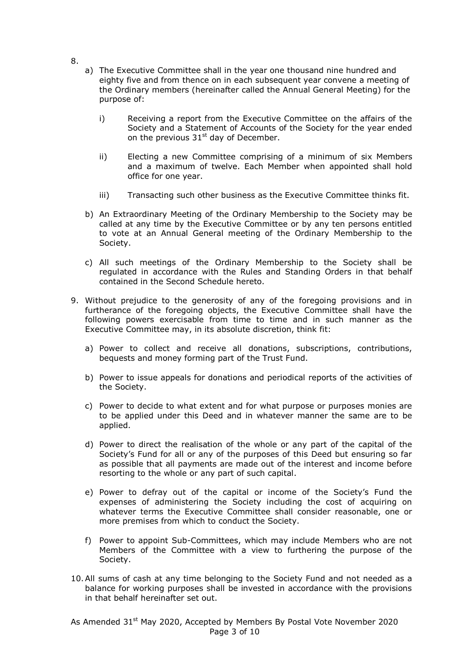- 8.
- a) The Executive Committee shall in the year one thousand nine hundred and eighty five and from thence on in each subsequent year convene a meeting of the Ordinary members (hereinafter called the Annual General Meeting) for the purpose of:
	- i) Receiving a report from the Executive Committee on the affairs of the Society and a Statement of Accounts of the Society for the year ended on the previous  $31<sup>st</sup>$  day of December.
	- ii) Electing a new Committee comprising of a minimum of six Members and a maximum of twelve. Each Member when appointed shall hold office for one year.
	- iii) Transacting such other business as the Executive Committee thinks fit.
- b) An Extraordinary Meeting of the Ordinary Membership to the Society may be called at any time by the Executive Committee or by any ten persons entitled to vote at an Annual General meeting of the Ordinary Membership to the Society.
- c) All such meetings of the Ordinary Membership to the Society shall be regulated in accordance with the Rules and Standing Orders in that behalf contained in the Second Schedule hereto.
- 9. Without prejudice to the generosity of any of the foregoing provisions and in furtherance of the foregoing objects, the Executive Committee shall have the following powers exercisable from time to time and in such manner as the Executive Committee may, in its absolute discretion, think fit:
	- a) Power to collect and receive all donations, subscriptions, contributions, bequests and money forming part of the Trust Fund.
	- b) Power to issue appeals for donations and periodical reports of the activities of the Society.
	- c) Power to decide to what extent and for what purpose or purposes monies are to be applied under this Deed and in whatever manner the same are to be applied.
	- d) Power to direct the realisation of the whole or any part of the capital of the Society's Fund for all or any of the purposes of this Deed but ensuring so far as possible that all payments are made out of the interest and income before resorting to the whole or any part of such capital.
	- e) Power to defray out of the capital or income of the Society's Fund the expenses of administering the Society including the cost of acquiring on whatever terms the Executive Committee shall consider reasonable, one or more premises from which to conduct the Society.
	- f) Power to appoint Sub-Committees, which may include Members who are not Members of the Committee with a view to furthering the purpose of the Society.
- 10.All sums of cash at any time belonging to the Society Fund and not needed as a balance for working purposes shall be invested in accordance with the provisions in that behalf hereinafter set out.

As Amended 31<sup>st</sup> May 2020, Accepted by Members By Postal Vote November 2020 Page 3 of 10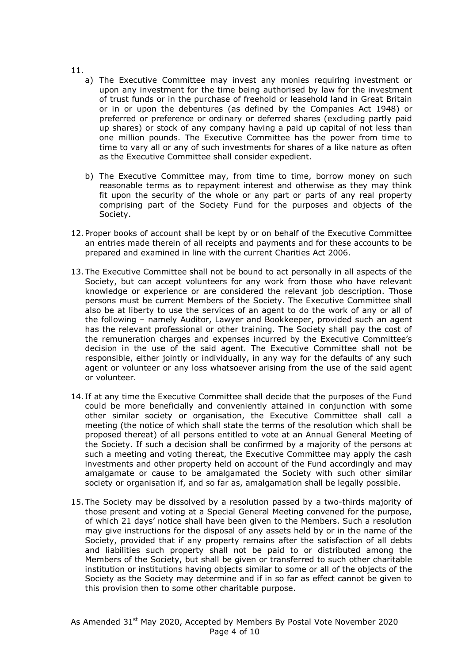- 11.
	- a) The Executive Committee may invest any monies requiring investment or upon any investment for the time being authorised by law for the investment of trust funds or in the purchase of freehold or leasehold land in Great Britain or in or upon the debentures (as defined by the Companies Act 1948) or preferred or preference or ordinary or deferred shares (excluding partly paid up shares) or stock of any company having a paid up capital of not less than one million pounds. The Executive Committee has the power from time to time to vary all or any of such investments for shares of a like nature as often as the Executive Committee shall consider expedient.
	- b) The Executive Committee may, from time to time, borrow money on such reasonable terms as to repayment interest and otherwise as they may think fit upon the security of the whole or any part or parts of any real property comprising part of the Society Fund for the purposes and objects of the Society.
- 12. Proper books of account shall be kept by or on behalf of the Executive Committee an entries made therein of all receipts and payments and for these accounts to be prepared and examined in line with the current Charities Act 2006.
- 13. The Executive Committee shall not be bound to act personally in all aspects of the Society, but can accept volunteers for any work from those who have relevant knowledge or experience or are considered the relevant job description. Those persons must be current Members of the Society. The Executive Committee shall also be at liberty to use the services of an agent to do the work of any or all of the following – namely Auditor, Lawyer and Bookkeeper, provided such an agent has the relevant professional or other training. The Society shall pay the cost of the remuneration charges and expenses incurred by the Executive Committee's decision in the use of the said agent. The Executive Committee shall not be responsible, either jointly or individually, in any way for the defaults of any such agent or volunteer or any loss whatsoever arising from the use of the said agent or volunteer.
- 14. If at any time the Executive Committee shall decide that the purposes of the Fund could be more beneficially and conveniently attained in conjunction with some other similar society or organisation, the Executive Committee shall call a meeting (the notice of which shall state the terms of the resolution which shall be proposed thereat) of all persons entitled to vote at an Annual General Meeting of the Society. If such a decision shall be confirmed by a majority of the persons at such a meeting and voting thereat, the Executive Committee may apply the cash investments and other property held on account of the Fund accordingly and may amalgamate or cause to be amalgamated the Society with such other similar society or organisation if, and so far as, amalgamation shall be legally possible.
- 15. The Society may be dissolved by a resolution passed by a two-thirds majority of those present and voting at a Special General Meeting convened for the purpose, of which 21 days' notice shall have been given to the Members. Such a resolution may give instructions for the disposal of any assets held by or in the name of the Society, provided that if any property remains after the satisfaction of all debts and liabilities such property shall not be paid to or distributed among the Members of the Society, but shall be given or transferred to such other charitable institution or institutions having objects similar to some or all of the objects of the Society as the Society may determine and if in so far as effect cannot be given to this provision then to some other charitable purpose.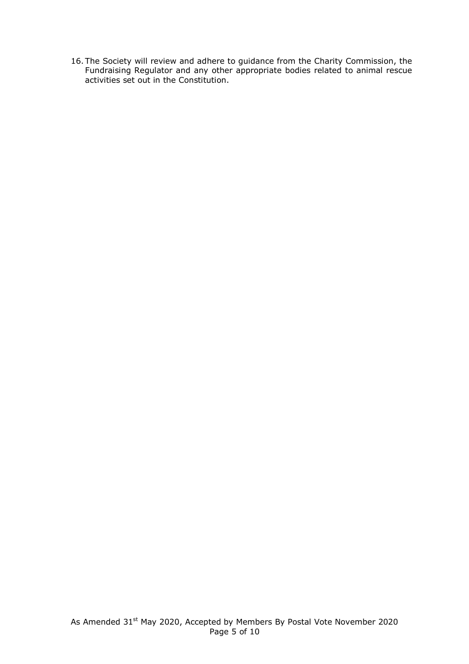16. The Society will review and adhere to guidance from the Charity Commission, the Fundraising Regulator and any other appropriate bodies related to animal rescue activities set out in the Constitution.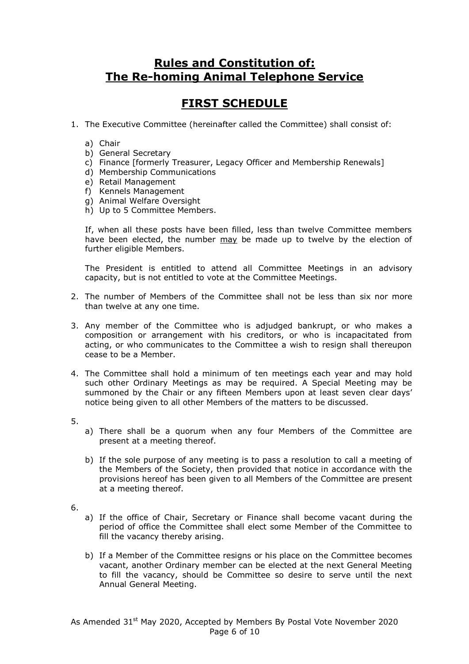### **Rules and Constitution of: The Re-homing Animal Telephone Service**

# **FIRST SCHEDULE**

- 1. The Executive Committee (hereinafter called the Committee) shall consist of:
	- a) Chair
	- b) General Secretary
	- c) Finance [formerly Treasurer, Legacy Officer and Membership Renewals]
	- d) Membership Communications
	- e) Retail Management
	- f) Kennels Management
	- g) Animal Welfare Oversight
	- h) Up to 5 Committee Members.

If, when all these posts have been filled, less than twelve Committee members have been elected, the number may be made up to twelve by the election of further eligible Members.

The President is entitled to attend all Committee Meetings in an advisory capacity, but is not entitled to vote at the Committee Meetings.

- 2. The number of Members of the Committee shall not be less than six nor more than twelve at any one time.
- 3. Any member of the Committee who is adjudged bankrupt, or who makes a composition or arrangement with his creditors, or who is incapacitated from acting, or who communicates to the Committee a wish to resign shall thereupon cease to be a Member.
- 4. The Committee shall hold a minimum of ten meetings each year and may hold such other Ordinary Meetings as may be required. A Special Meeting may be summoned by the Chair or any fifteen Members upon at least seven clear days' notice being given to all other Members of the matters to be discussed.
- 5.
- a) There shall be a quorum when any four Members of the Committee are present at a meeting thereof.
- b) If the sole purpose of any meeting is to pass a resolution to call a meeting of the Members of the Society, then provided that notice in accordance with the provisions hereof has been given to all Members of the Committee are present at a meeting thereof.
- 6.
- a) If the office of Chair, Secretary or Finance shall become vacant during the period of office the Committee shall elect some Member of the Committee to fill the vacancy thereby arising.
- b) If a Member of the Committee resigns or his place on the Committee becomes vacant, another Ordinary member can be elected at the next General Meeting to fill the vacancy, should be Committee so desire to serve until the next Annual General Meeting.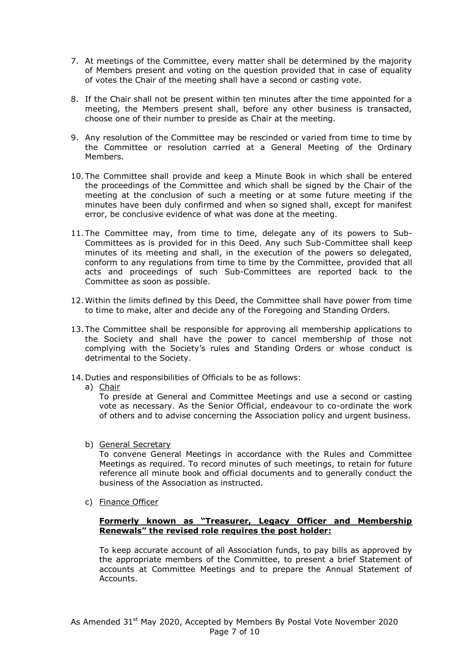- 7. At meetings of the Committee, every matter shall be determined by the majority of Members present and voting on the question provided that in case of equality of votes the Chair of the meeting shall have a second or casting vote.
- 8. If the Chair shall not be present within ten minutes after the time appointed for a meeting, the Members present shall, before any other business is transacted, choose one of their number to preside as Chair at the meeting.
- 9. Any resolution of the Committee may be rescinded or varied from time to time by the Committee or resolution carried at a General Meeting of the Ordinary Members.
- 10. The Committee shall provide and keep a Minute Book in which shall be entered the proceedings of the Committee and which shall be signed by the Chair of the meeting at the conclusion of such a meeting or at some future meeting if the minutes have been duly confirmed and when so signed shall, except for manifest error, be conclusive evidence of what was done at the meeting.
- 11. The Committee may, from time to time, delegate any of its powers to Sub-Committees as is provided for in this Deed. Any such Sub-Committee shall keep minutes of its meeting and shall, in the execution of the powers so delegated, conform to any regulations from time to time by the Committee, provided that all acts and proceedings of such Sub-Committees are reported back to the Committee as soon as possible.
- 12.Within the limits defined by this Deed, the Committee shall have power from time to time to make, alter and decide any of the Foregoing and Standing Orders.
- 13. The Committee shall be responsible for approving all membership applications to the Society and shall have the power to cancel membership of those not complying with the Society's rules and Standing Orders or whose conduct is detrimental to the Society.
- 14. Duties and responsibilities of Officials to be as follows:
	- a) Chair

To preside at General and Committee Meetings and use a second or casting vote as necessary. As the Senior Official, endeavour to co-ordinate the work of others and to advise concerning the Association policy and urgent business.

b) General Secretary

To convene General Meetings in accordance with the Rules and Committee Meetings as required. To record minutes of such meetings, to retain for future reference all minute book and official documents and to generally conduct the business of the Association as instructed.

c) Finance Officer

#### **Formerly known as "Treasurer, Legacy Officer and Membership Renewals" the revised role requires the post holder:**

To keep accurate account of all Association funds, to pay bills as approved by the appropriate members of the Committee, to present a brief Statement of accounts at Committee Meetings and to prepare the Annual Statement of Accounts.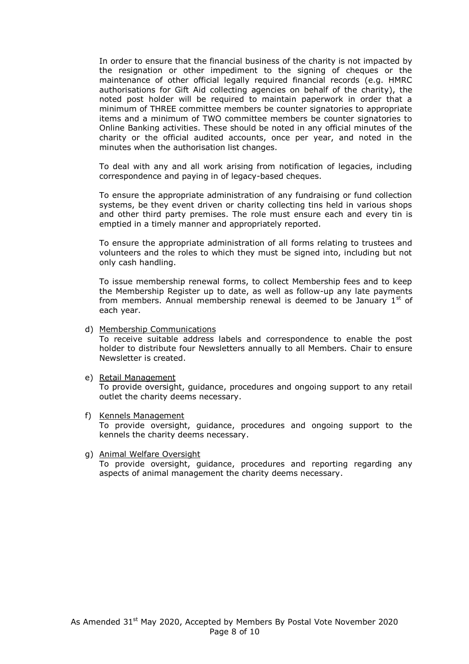In order to ensure that the financial business of the charity is not impacted by the resignation or other impediment to the signing of cheques or the maintenance of other official legally required financial records (e.g. HMRC authorisations for Gift Aid collecting agencies on behalf of the charity), the noted post holder will be required to maintain paperwork in order that a minimum of THREE committee members be counter signatories to appropriate items and a minimum of TWO committee members be counter signatories to Online Banking activities. These should be noted in any official minutes of the charity or the official audited accounts, once per year, and noted in the minutes when the authorisation list changes.

To deal with any and all work arising from notification of legacies, including correspondence and paying in of legacy-based cheques.

To ensure the appropriate administration of any fundraising or fund collection systems, be they event driven or charity collecting tins held in various shops and other third party premises. The role must ensure each and every tin is emptied in a timely manner and appropriately reported.

To ensure the appropriate administration of all forms relating to trustees and volunteers and the roles to which they must be signed into, including but not only cash handling.

To issue membership renewal forms, to collect Membership fees and to keep the Membership Register up to date, as well as follow-up any late payments from members. Annual membership renewal is deemed to be January  $1<sup>st</sup>$  of each year.

d) Membership Communications

To receive suitable address labels and correspondence to enable the post holder to distribute four Newsletters annually to all Members. Chair to ensure Newsletter is created.

e) Retail Management

To provide oversight, guidance, procedures and ongoing support to any retail outlet the charity deems necessary.

- f) Kennels Management To provide oversight, guidance, procedures and ongoing support to the kennels the charity deems necessary.
- g) Animal Welfare Oversight To provide oversight, guidance, procedures and reporting regarding any aspects of animal management the charity deems necessary.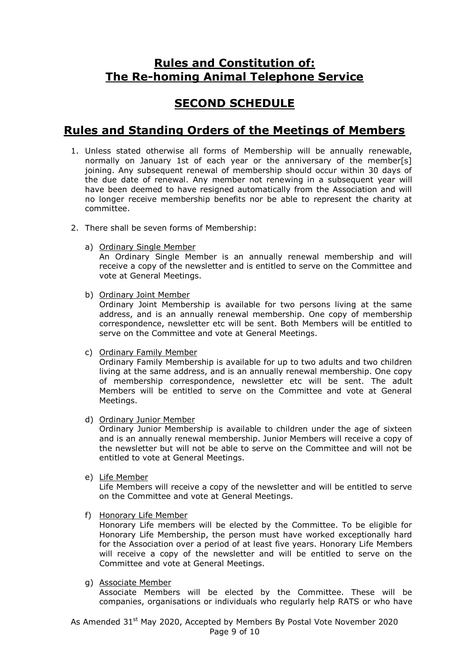## **Rules and Constitution of: The Re-homing Animal Telephone Service**

# **SECOND SCHEDULE**

## **Rules and Standing Orders of the Meetings of Members**

- 1. Unless stated otherwise all forms of Membership will be annually renewable, normally on January 1st of each year or the anniversary of the member[s] joining. Any subsequent renewal of membership should occur within 30 days of the due date of renewal. Any member not renewing in a subsequent year will have been deemed to have resigned automatically from the Association and will no longer receive membership benefits nor be able to represent the charity at committee.
- 2. There shall be seven forms of Membership:
	- a) Ordinary Single Member

An Ordinary Single Member is an annually renewal membership and will receive a copy of the newsletter and is entitled to serve on the Committee and vote at General Meetings.

b) Ordinary Joint Member

Ordinary Joint Membership is available for two persons living at the same address, and is an annually renewal membership. One copy of membership correspondence, newsletter etc will be sent. Both Members will be entitled to serve on the Committee and vote at General Meetings.

c) Ordinary Family Member

Ordinary Family Membership is available for up to two adults and two children living at the same address, and is an annually renewal membership. One copy of membership correspondence, newsletter etc will be sent. The adult Members will be entitled to serve on the Committee and vote at General Meetings.

d) Ordinary Junior Member

Ordinary Junior Membership is available to children under the age of sixteen and is an annually renewal membership. Junior Members will receive a copy of the newsletter but will not be able to serve on the Committee and will not be entitled to vote at General Meetings.

e) Life Member

Life Members will receive a copy of the newsletter and will be entitled to serve on the Committee and vote at General Meetings.

f) Honorary Life Member

Honorary Life members will be elected by the Committee. To be eligible for Honorary Life Membership, the person must have worked exceptionally hard for the Association over a period of at least five years. Honorary Life Members will receive a copy of the newsletter and will be entitled to serve on the Committee and vote at General Meetings.

g) Associate Member

Associate Members will be elected by the Committee. These will be companies, organisations or individuals who regularly help RATS or who have

As Amended 31<sup>st</sup> May 2020, Accepted by Members By Postal Vote November 2020 Page 9 of 10